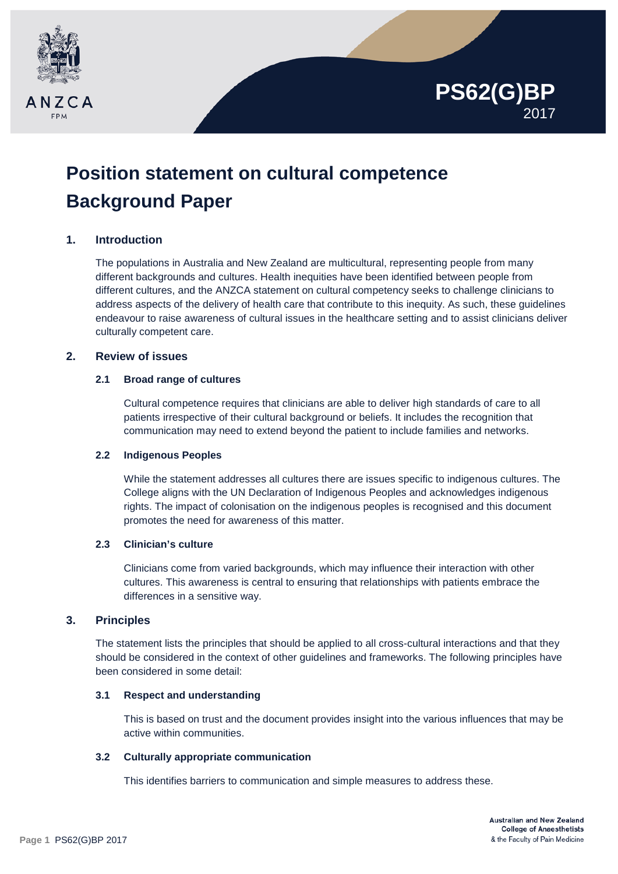

# **Position statement on cultural competence Background Paper**

# **1. Introduction**

The populations in Australia and New Zealand are multicultural, representing people from many different backgrounds and cultures. Health inequities have been identified between people from different cultures, and the ANZCA statement on cultural competency seeks to challenge clinicians to address aspects of the delivery of health care that contribute to this inequity. As such, these guidelines endeavour to raise awareness of cultural issues in the healthcare setting and to assist clinicians deliver culturally competent care.

# **2. Review of issues**

## **2.1 Broad range of cultures**

Cultural competence requires that clinicians are able to deliver high standards of care to all patients irrespective of their cultural background or beliefs. It includes the recognition that communication may need to extend beyond the patient to include families and networks.

## **2.2 Indigenous Peoples**

While the statement addresses all cultures there are issues specific to indigenous cultures. The College aligns with the UN Declaration of Indigenous Peoples and acknowledges indigenous rights. The impact of colonisation on the indigenous peoples is recognised and this document promotes the need for awareness of this matter.

## **2.3 Clinician's culture**

Clinicians come from varied backgrounds, which may influence their interaction with other cultures. This awareness is central to ensuring that relationships with patients embrace the differences in a sensitive way.

## **3. Principles**

The statement lists the principles that should be applied to all cross-cultural interactions and that they should be considered in the context of other guidelines and frameworks. The following principles have been considered in some detail:

## **3.1 Respect and understanding**

This is based on trust and the document provides insight into the various influences that may be active within communities.

## **3.2 Culturally appropriate communication**

This identifies barriers to communication and simple measures to address these.

**PS62(G)BP**

2017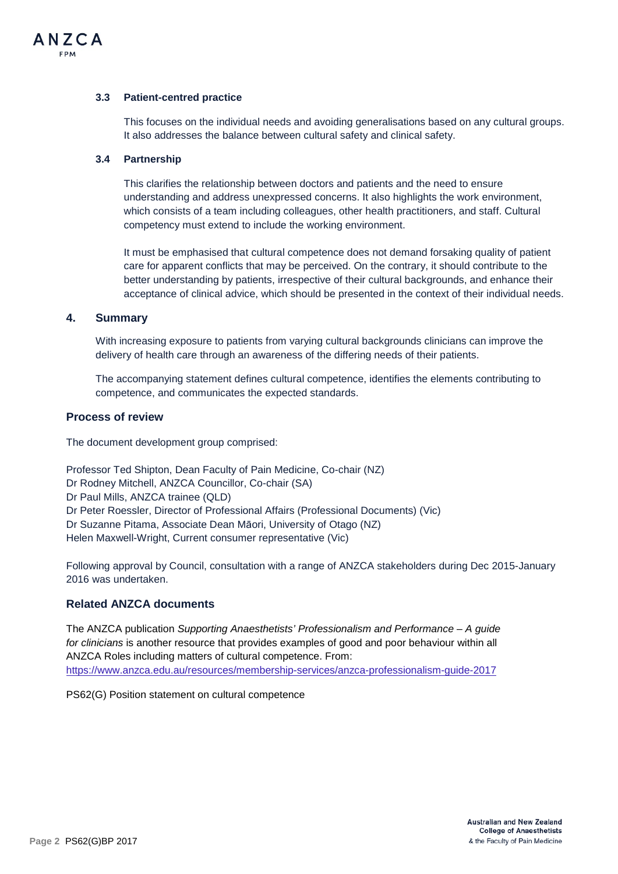

#### **3.3 Patient-centred practice**

This focuses on the individual needs and avoiding generalisations based on any cultural groups. It also addresses the balance between cultural safety and clinical safety.

#### **3.4 Partnership**

This clarifies the relationship between doctors and patients and the need to ensure understanding and address unexpressed concerns. It also highlights the work environment, which consists of a team including colleagues, other health practitioners, and staff. Cultural competency must extend to include the working environment.

It must be emphasised that cultural competence does not demand forsaking quality of patient care for apparent conflicts that may be perceived. On the contrary, it should contribute to the better understanding by patients, irrespective of their cultural backgrounds, and enhance their acceptance of clinical advice, which should be presented in the context of their individual needs.

#### **4. Summary**

With increasing exposure to patients from varying cultural backgrounds clinicians can improve the delivery of health care through an awareness of the differing needs of their patients.

The accompanying statement defines cultural competence, identifies the elements contributing to competence, and communicates the expected standards.

#### **Process of review**

The document development group comprised:

Professor Ted Shipton, Dean Faculty of Pain Medicine, Co-chair (NZ) Dr Rodney Mitchell, ANZCA Councillor, Co-chair (SA) Dr Paul Mills, ANZCA trainee (QLD) Dr Peter Roessler, Director of Professional Affairs (Professional Documents) (Vic) Dr Suzanne Pitama, Associate Dean Māori, University of Otago (NZ) Helen Maxwell-Wright, Current consumer representative (Vic)

Following approval by Council, consultation with a range of ANZCA stakeholders during Dec 2015-January 2016 was undertaken.

## **Related ANZCA documents**

The ANZCA publication *Supporting Anaesthetists' Professionalism and Performance – A guide for clinicians* is another resource that provides examples of good and poor behaviour within all ANZCA Roles including matters of cultural competence. From: <https://www.anzca.edu.au/resources/membership-services/anzca-professionalism-guide-2017>

PS62(G) Position statement on cultural competence